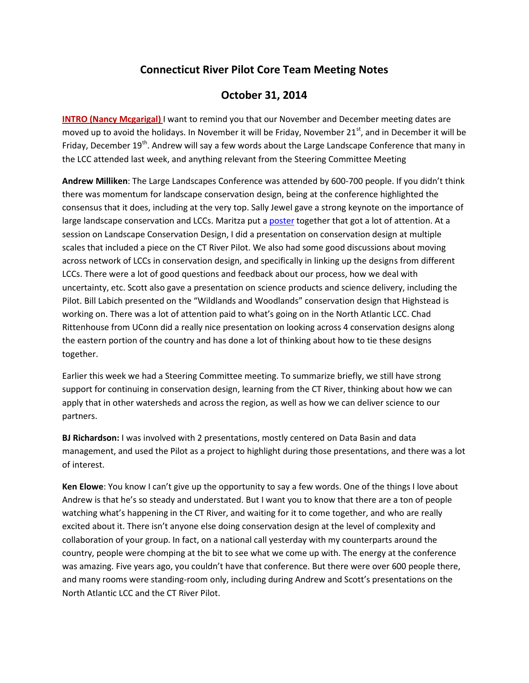# **Connecticut River Pilot Core Team Meeting Notes**

# **October 31, 2014**

**INTRO (Nancy Mcgarigal)** I want to remind you that our November and December meeting dates are moved up to avoid the holidays. In November it will be Friday, November  $21<sup>st</sup>$ , and in December it will be Friday, December 19<sup>th</sup>. Andrew will say a few words about the Large Landscape Conference that many in the LCC attended last week, and anything relevant from the Steering Committee Meeting

**Andrew Milliken**: The Large Landscapes Conference was attended by 600-700 people. If you didn't think there was momentum for landscape conservation design, being at the conference highlighted the consensus that it does, including at the very top. Sally Jewel gave a strong keynote on the importance of large landscape conservation and LCCs. Maritza put a poster together that got a lot of attention. At a session on Landscape Conservation Design, I did a presentation on conservation design at multiple scales that included a piece on the CT River Pilot. We also had some good discussions about moving across network of LCCs in conservation design, and specifically in linking up the designs from different LCCs. There were a lot of good questions and feedback about our process, how we deal with uncertainty, etc. Scott also gave a presentation on science products and science delivery, including the Pilot. Bill Labich presented on the "Wildlands and Woodlands" conservation design that Highstead is working on. There was a lot of attention paid to what's going on in the North Atlantic LCC. Chad Rittenhouse from UConn did a really nice presentation on looking across 4 conservation designs along the eastern portion of the country and has done a lot of thinking about how to tie these designs together.

Earlier this week we had a Steering Committee meeting. To summarize briefly, we still have strong support for continuing in conservation design, learning from the CT River, thinking about how we can apply that in other watersheds and across the region, as well as how we can deliver science to our partners.

**BJ Richardson:** I was involved with 2 presentations, mostly centered on Data Basin and data management, and used the Pilot as a project to highlight during those presentations, and there was a lot of interest.

**Ken Elowe**: You know I can't give up the opportunity to say a few words. One of the things I love about Andrew is that he's so steady and understated. But I want you to know that there are a ton of people watching what's happening in the CT River, and waiting for it to come together, and who are really excited about it. There isn't anyone else doing conservation design at the level of complexity and collaboration of your group. In fact, on a national call yesterday with my counterparts around the country, people were chomping at the bit to see what we come up with. The energy at the conference was amazing. Five years ago, you couldn't have that conference. But there were over 600 people there, and many rooms were standing-room only, including during Andrew and Scott's presentations on the North Atlantic LCC and the CT River Pilot.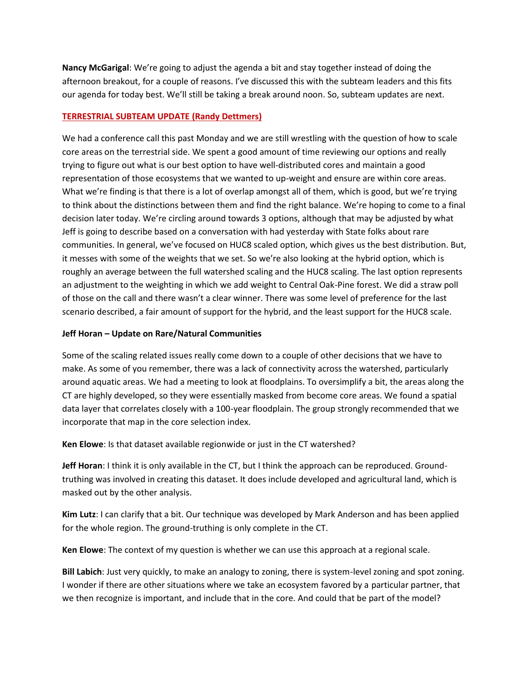**Nancy McGarigal**: We're going to adjust the agenda a bit and stay together instead of doing the afternoon breakout, for a couple of reasons. I've discussed this with the subteam leaders and this fits our agenda for today best. We'll still be taking a break around noon. So, subteam updates are next.

# **TERRESTRIAL SUBTEAM UPDATE (Randy Dettmers)**

We had a conference call this past Monday and we are still wrestling with the question of how to scale core areas on the terrestrial side. We spent a good amount of time reviewing our options and really trying to figure out what is our best option to have well-distributed cores and maintain a good representation of those ecosystems that we wanted to up-weight and ensure are within core areas. What we're finding is that there is a lot of overlap amongst all of them, which is good, but we're trying to think about the distinctions between them and find the right balance. We're hoping to come to a final decision later today. We're circling around towards 3 options, although that may be adjusted by what Jeff is going to describe based on a conversation with had yesterday with State folks about rare communities. In general, we've focused on HUC8 scaled option, which gives us the best distribution. But, it messes with some of the weights that we set. So we're also looking at the hybrid option, which is roughly an average between the full watershed scaling and the HUC8 scaling. The last option represents an adjustment to the weighting in which we add weight to Central Oak-Pine forest. We did a straw poll of those on the call and there wasn't a clear winner. There was some level of preference for the last scenario described, a fair amount of support for the hybrid, and the least support for the HUC8 scale.

## **Jeff Horan – Update on Rare/Natural Communities**

Some of the scaling related issues really come down to a couple of other decisions that we have to make. As some of you remember, there was a lack of connectivity across the watershed, particularly around aquatic areas. We had a meeting to look at floodplains. To oversimplify a bit, the areas along the CT are highly developed, so they were essentially masked from become core areas. We found a spatial data layer that correlates closely with a 100-year floodplain. The group strongly recommended that we incorporate that map in the core selection index.

**Ken Elowe**: Is that dataset available regionwide or just in the CT watershed?

**Jeff Horan**: I think it is only available in the CT, but I think the approach can be reproduced. Ground truthing was involved in creating this dataset. It does include developed and agricultural land, which is masked out by the other analysis.

**Kim Lutz**: I can clarify that a bit. Our technique was developed by Mark Anderson and has been applied for the whole region. The ground-truthing is only complete in the CT.

**Ken Elowe**: The context of my question is whether we can use this approach at a regional scale.

**Bill Labich**: Just very quickly, to make an analogy to zoning, there is system-level zoning and spot zoning. I wonder if there are other situations where we take an ecosystem favored by a particular partner, that we then recognize is important, and include that in the core. And could that be part of the model?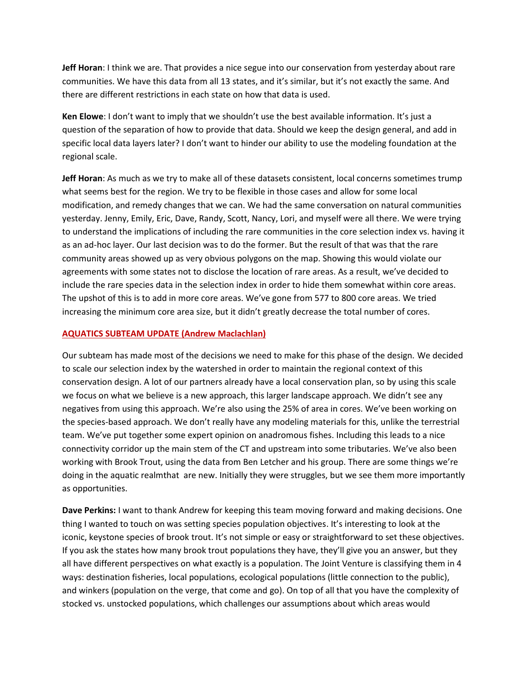**Jeff Horan**: I think we are. That provides a nice segue into our conservation from yesterday about rare communities. We have this data from all 13 states, and it's similar, but it's not exactly the same. And there are different restrictions in each state on how that data is used.

**Ken Elowe**: I don't want to imply that we shouldn't use the best available information. It's just a question of the separation of how to provide that data. Should we keep the design general, and add in specific local data layers later? I don't want to hinder our ability to use the modeling foundation at the regional scale.

**Jeff Horan**: As much as we try to make all of these datasets consistent, local concerns sometimes trump what seems best for the region. We try to be flexible in those cases and allow for some local modification, and remedy changes that we can. We had the same conversation on natural communities yesterday. Jenny, Emily, Eric, Dave, Randy, Scott, Nancy, Lori, and myself were all there. We were trying to understand the implications of including the rare communities in the core selection index vs. having it as an ad-hoc layer. Our last decision was to do the former. But the result of that was that the rare community areas showed up as very obvious polygons on the map. Showing this would violate our agreements with some states not to disclose the location of rare areas. As a result, we've decided to include the rare species data in the selection index in order to hide them somewhat within core areas. The upshot of this is to add in more core areas. We've gone from 577 to 800 core areas. We tried increasing the minimum core area size, but it didn't greatly decrease the total number of cores.

### **AQUATICS SUBTEAM UPDATE (Andrew Maclachlan)**

Our subteam has made most of the decisions we need to make for this phase of the design. We decided to scale our selection index by the watershed in order to maintain the regional context of this conservation design. A lot of our partners already have a local conservation plan, so by using this scale we focus on what we believe is a new approach, this larger landscape approach. We didn't see any negatives from using this approach. We're also using the 25% of area in cores. We've been working on the species-based approach. We don't really have any modeling materials for this, unlike the terrestrial team. We've put together some expert opinion on anadromous fishes. Including this leads to a nice connectivity corridor up the main stem of the CT and upstream into some tributaries. We've also been working with Brook Trout, using the data from Ben Letcher and his group. There are some things we're doing in the aquatic realmthat are new. Initially they were struggles, but we see them more importantly as opportunities.

**Dave Perkins:** I want to thank Andrew for keeping this team moving forward and making decisions. One thing I wanted to touch on was setting species population objectives. It's interesting to look at the iconic, keystone species of brook trout. It's not simple or easy or straightforward to set these objectives. If you ask the states how many brook trout populations they have, they'll give you an answer, but they all have different perspectives on what exactly is a population. The Joint Venture is classifying them in 4 ways: destination fisheries, local populations, ecological populations (little connection to the public), and winkers (population on the verge, that come and go). On top of all that you have the complexity of stocked vs. unstocked populations, which challenges our assumptions about which areas would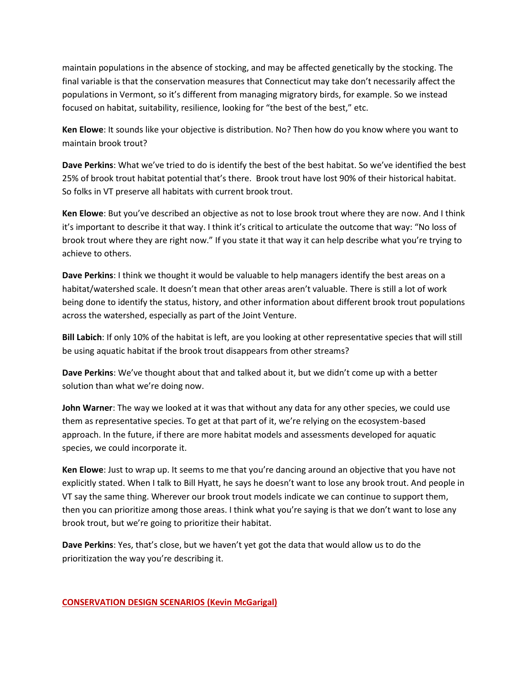maintain populations in the absence of stocking, and may be affected genetically by the stocking. The final variable is that the conservation measures that Connecticut may take don't necessarily affect the populations in Vermont, so it's different from managing migratory birds, for example. So we instead focused on habitat, suitability, resilience, looking for "the best of the best," etc.

**Ken Elowe**: It sounds like your objective is distribution. No? Then how do you know where you want to maintain brook trout?

**Dave Perkins**: What we've tried to do is identify the best of the best habitat. So we've identified the best 25% of brook trout habitat potential that's there. Brook trout have lost 90% of their historical habitat. So folks in VT preserve all habitats with current brook trout.

**Ken Elowe**: But you've described an objective as not to lose brook trout where they are now. And I think it's important to describe it that way. I think it's critical to articulate the outcome that way: "No loss of brook trout where they are right now." If you state it that way it can help describe what you're trying to achieve to others.

**Dave Perkins**: I think we thought it would be valuable to help managers identify the best areas on a habitat/watershed scale. It doesn't mean that other areas aren't valuable. There is still a lot of work being done to identify the status, history, and other information about different brook trout populations across the watershed, especially as part of the Joint Venture.

**Bill Labich**: If only 10% of the habitat is left, are you looking at other representative species that will still be using aquatic habitat if the brook trout disappears from other streams?

**Dave Perkins**: We've thought about that and talked about it, but we didn't come up with a better solution than what we're doing now.

**John Warner**: The way we looked at it was that without any data for any other species, we could use them as representative species. To get at that part of it, we're relying on the ecosystem-based approach. In the future, if there are more habitat models and assessments developed for aquatic species, we could incorporate it.

**Ken Elowe**: Just to wrap up. It seems to me that you're dancing around an objective that you have not explicitly stated. When I talk to Bill Hyatt, he says he doesn't want to lose any brook trout. And people in VT say the same thing. Wherever our brook trout models indicate we can continue to support them, then you can prioritize among those areas. I think what you're saying is that we don't want to lose any brook trout, but we're going to prioritize their habitat.

**Dave Perkins**: Yes, that's close, but we haven't yet got the data that would allow us to do the prioritization the way you're describing it.

## **CONSERVATION DESIGN SCENARIOS (Kevin McGarigal)**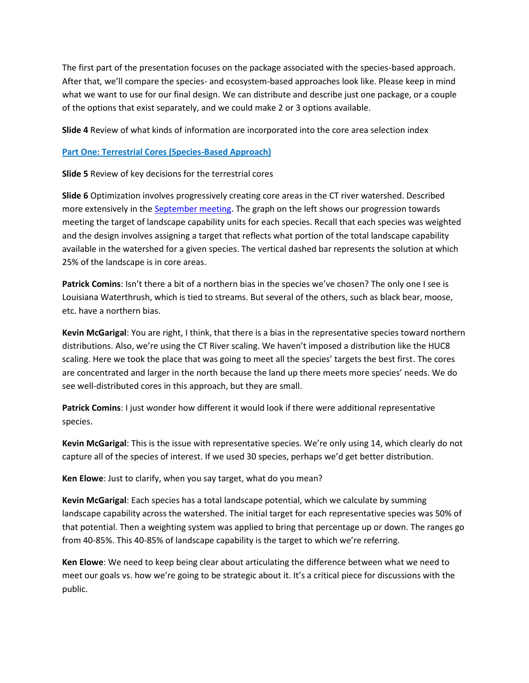The first part of the presentation focuses on the package associated with the species-based approach. After that, we'll compare the species- and ecosystem-based approaches look like. Please keep in mind what we want to use for our final design. We can distribute and describe just one package, or a couple of the options that exist separately, and we could make 2 or 3 options available.

**Slide 4** Review of what kinds of information are incorporated into the core area selection index

### **Part One: Terrestrial Cores (Species-Based Approach)**

**Slide 5** Review of key decisions for the terrestrial cores

**Slide 6** Optimization involves progressively creating core areas in the CT river watershed. Described more extensively in the September meeting. The graph on the left shows our progression towards meeting the target of landscape capability units for each species. Recall that each species was weighted and the design involves assigning a target that reflects what portion of the total landscape capability available in the watershed for a given species. The vertical dashed bar represents the solution at which 25% of the landscape is in core areas.

**Patrick Comins**: Isn't there a bit of a northern bias in the species we've chosen? The only one I see is Louisiana Waterthrush, which is tied to streams. But several of the others, such as black bear, moose, etc. have a northern bias.

**Kevin McGarigal**: You are right, I think, that there is a bias in the representative species toward northern distributions. Also, we're using the CT River scaling. We haven't imposed a distribution like the HUC8 scaling. Here we took the place that was going to meet all the species' targets the best first. The cores are concentrated and larger in the north because the land up there meets more species' needs. We do see well-distributed cores in this approach, but they are small.

**Patrick Comins**: I just wonder how different it would look if there were additional representative species.

**Kevin McGarigal**: This is the issue with representative species. We're only using 14, which clearly do not capture all of the species of interest. If we used 30 species, perhaps we'd get better distribution.

**Ken Elowe**: Just to clarify, when you say target, what do you mean?

**Kevin McGarigal**: Each species has a total landscape potential, which we calculate by summing landscape capability across the watershed. The initial target for each representative species was 50% of that potential. Then a weighting system was applied to bring that percentage up or down. The ranges go from 40-85%. This 40-85% of landscape capability is the target to which we're referring.

**Ken Elowe**: We need to keep being clear about articulating the difference between what we need to meet our goals vs. how we're going to be strategic about it. It's a critical piece for discussions with the public.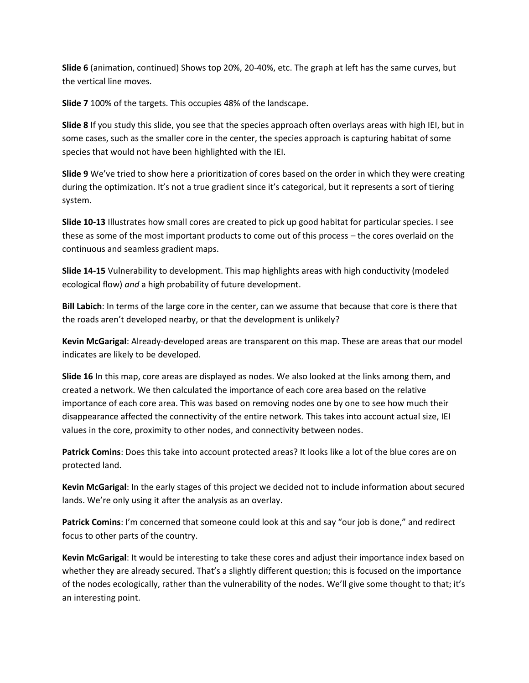**Slide 6** (animation, continued) Shows top 20%, 20-40%, etc. The graph at left has the same curves, but the vertical line moves.

**Slide 7** 100% of the targets. This occupies 48% of the landscape.

**Slide 8** If you study this slide, you see that the species approach often overlays areas with high IEI, but in some cases, such as the smaller core in the center, the species approach is capturing habitat of some species that would not have been highlighted with the IEI.

**Slide 9** We've tried to show here a prioritization of cores based on the order in which they were creating during the optimization. It's not a true gradient since it's categorical, but it represents a sort of tiering system.

**Slide 10-13** Illustrates how small cores are created to pick up good habitat for particular species. I see these as some of the most important products to come out of this process – the cores overlaid on the continuous and seamless gradient maps.

**Slide 14-15** Vulnerability to development. This map highlights areas with high conductivity (modeled ecological flow) *and* a high probability of future development.

**Bill Labich**: In terms of the large core in the center, can we assume that because that core is there that the roads aren't developed nearby, or that the development is unlikely?

**Kevin McGarigal**: Already-developed areas are transparent on this map. These are areas that our model indicates are likely to be developed.

**Slide 16** In this map, core areas are displayed as nodes. We also looked at the links among them, and created a network. We then calculated the importance of each core area based on the relative importance of each core area. This was based on removing nodes one by one to see how much their disappearance affected the connectivity of the entire network. This takes into account actual size, IEI values in the core, proximity to other nodes, and connectivity between nodes.

**Patrick Comins**: Does this take into account protected areas? It looks like a lot of the blue cores are on protected land.

**Kevin McGarigal**: In the early stages of this project we decided not to include information about secured lands. We're only using it after the analysis as an overlay.

**Patrick Comins**: I'm concerned that someone could look at this and say "our job is done," and redirect focus to other parts of the country.

**Kevin McGarigal**: It would be interesting to take these cores and adjust their importance index based on whether they are already secured. That's a slightly different question; this is focused on the importance of the nodes ecologically, rather than the vulnerability of the nodes. We'll give some thought to that; it's an interesting point.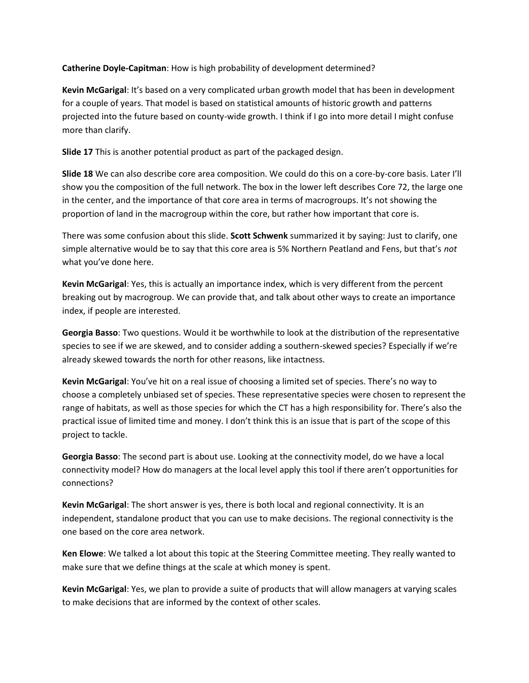**Catherine Doyle-Capitman**: How is high probability of development determined?

**Kevin McGarigal**: It's based on a very complicated urban growth model that has been in development for a couple of years. That model is based on statistical amounts of historic growth and patterns projected into the future based on county-wide growth. I think if I go into more detail I might confuse more than clarify.

**Slide 17** This is another potential product as part of the packaged design.

**Slide 18** We can also describe core area composition. We could do this on a core-by-core basis. Later I'll show you the composition of the full network. The box in the lower left describes Core 72, the large one in the center, and the importance of that core area in terms of macrogroups. It's not showing the proportion of land in the macrogroup within the core, but rather how important that core is.

There was some confusion about this slide. **Scott Schwenk** summarized it by saying: Just to clarify, one simple alternative would be to say that this core area is 5% Northern Peatland and Fens, but that's *not* what you've done here.

**Kevin McGarigal**: Yes, this is actually an importance index, which is very different from the percent breaking out by macrogroup. We can provide that, and talk about other ways to create an importance index, if people are interested.

**Georgia Basso**: Two questions. Would it be worthwhile to look at the distribution of the representative species to see if we are skewed, and to consider adding a southern-skewed species? Especially if we're already skewed towards the north for other reasons, like intactness.

**Kevin McGarigal**: You've hit on a real issue of choosing a limited set of species. There's no way to choose a completely unbiased set of species. These representative species were chosen to represent the range of habitats, as well as those species for which the CT has a high responsibility for. There's also the practical issue of limited time and money. I don't think this is an issue that is part of the scope of this project to tackle.

**Georgia Basso**: The second part is about use. Looking at the connectivity model, do we have a local connectivity model? How do managers at the local level apply this tool if there aren't opportunities for connections?

**Kevin McGarigal**: The short answer is yes, there is both local and regional connectivity. It is an independent, standalone product that you can use to make decisions. The regional connectivity is the one based on the core area network.

**Ken Elowe**: We talked a lot about this topic at the Steering Committee meeting. They really wanted to make sure that we define things at the scale at which money is spent.

**Kevin McGarigal**: Yes, we plan to provide a suite of products that will allow managers at varying scales to make decisions that are informed by the context of other scales.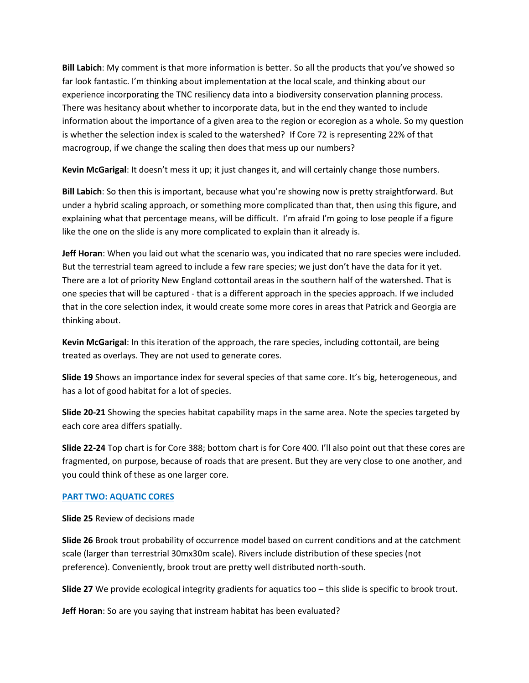**Bill Labich**: My comment is that more information is better. So all the products that you've showed so far look fantastic. I'm thinking about implementation at the local scale, and thinking about our experience incorporating the TNC resiliency data into a biodiversity conservation planning process. There was hesitancy about whether to incorporate data, but in the end they wanted to include information about the importance of a given area to the region or ecoregion as a whole. So my question is whether the selection index is scaled to the watershed? If Core 72 is representing 22% of that macrogroup, if we change the scaling then does that mess up our numbers?

**Kevin McGarigal**: It doesn't mess it up; it just changes it, and will certainly change those numbers.

**Bill Labich**: So then this is important, because what you're showing now is pretty straightforward. But under a hybrid scaling approach, or something more complicated than that, then using this figure, and explaining what that percentage means, will be difficult. I'm afraid I'm going to lose people if a figure like the one on the slide is any more complicated to explain than it already is.

**Jeff Horan**: When you laid out what the scenario was, you indicated that no rare species were included. But the terrestrial team agreed to include a few rare species; we just don't have the data for it yet. There are a lot of priority New England cottontail areas in the southern half of the watershed. That is one species that will be captured - that is a different approach in the species approach. If we included that in the core selection index, it would create some more cores in areas that Patrick and Georgia are thinking about.

**Kevin McGarigal**: In this iteration of the approach, the rare species, including cottontail, are being treated as overlays. They are not used to generate cores.

**Slide 19** Shows an importance index for several species of that same core. It's big, heterogeneous, and has a lot of good habitat for a lot of species.

**Slide 20-21** Showing the species habitat capability maps in the same area. Note the species targeted by each core area differs spatially.

**Slide 22-24** Top chart is for Core 388; bottom chart is for Core 400. I'll also point out that these cores are fragmented, on purpose, because of roads that are present. But they are very close to one another, and you could think of these as one larger core.

# **PART TWO: AQUATIC CORES**

**Slide 25** Review of decisions made

**Slide 26** Brook trout probability of occurrence model based on current conditions and at the catchment scale (larger than terrestrial 30mx30m scale). Rivers include distribution of these species (not preference). Conveniently, brook trout are pretty well distributed north-south.

**Slide 27** We provide ecological integrity gradients for aquatics too – this slide is specific to brook trout.

**Jeff Horan**: So are you saying that instream habitat has been evaluated?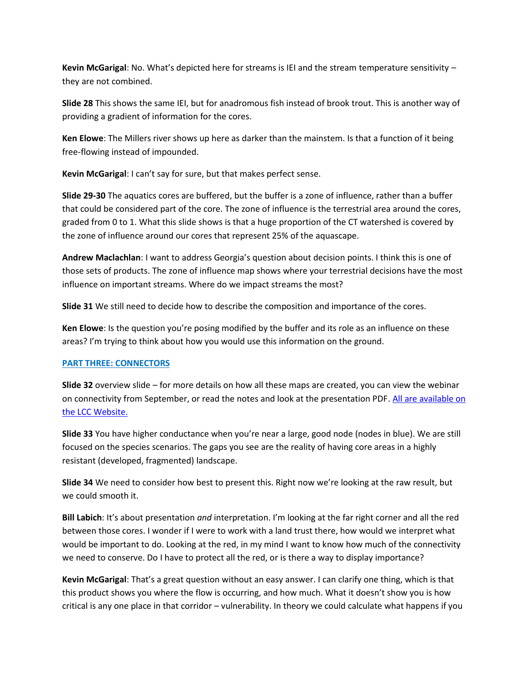**Kevin McGarigal**: No. What's depicted here for streams is IEI and the stream temperature sensitivity – they are not combined.

**Slide 28** This shows the same IEI, but for anadromous fish instead of brook trout. This is another way of providing a gradient of information for the cores.

**Ken Elowe**: The Millers river shows up here as darker than the mainstem. Is that a function of it being free-flowing instead of impounded.

**Kevin McGarigal**: I can't say for sure, but that makes perfect sense.

**Slide 29-30** The aquatics cores are buffered, but the buffer is a zone of influence, rather than a buffer that could be considered part of the core. The zone of influence is the terrestrial area around the cores, graded from 0 to 1. What this slide shows is that a huge proportion of the CT watershed is covered by the zone of influence around our cores that represent 25% of the aquascape.

**Andrew Maclachlan**: I want to address Georgia's question about decision points. I think this is one of those sets of products. The zone of influence map shows where your terrestrial decisions have the most influence on important streams. Where do we impact streams the most?

**Slide 31** We still need to decide how to describe the composition and importance of the cores.

**Ken Elowe**: Is the question you're posing modified by the buffer and its role as an influence on these areas? I'm trying to think about how you would use this information on the ground.

## **PART THREE: CONNECTORS**

**Slide 32** overview slide – for more details on how all these maps are created, you can view the webinar on connectivity from September, or read the notes and look at the presentation PDF. All are available on the LCC Website.

**Slide 33** You have higher conductance when you're near a large, good node (nodes in blue). We are still focused on the species scenarios. The gaps you see are the reality of having core areas in a highly resistant (developed, fragmented) landscape.

**Slide 34** We need to consider how best to present this. Right now we're looking at the raw result, but we could smooth it.

**Bill Labich**: It's about presentation *and* interpretation. I'm looking at the far right corner and all the red between those cores. I wonder if I were to work with a land trust there, how would we interpret what would be important to do. Looking at the red, in my mind I want to know how much of the connectivity we need to conserve. Do I have to protect all the red, or is there a way to display importance?

**Kevin McGarigal**: That's a great question without an easy answer. I can clarify one thing, which is that this product shows you where the flow is occurring, and how much. What it doesn't show you is how critical is any one place in that corridor – vulnerability. In theory we could calculate what happens if you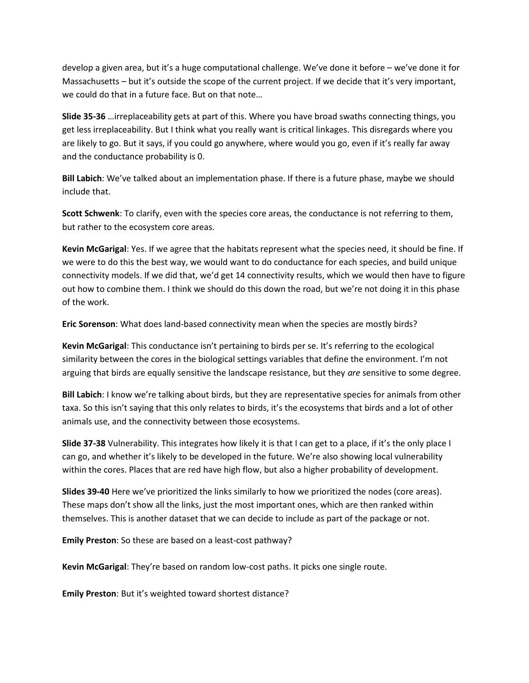develop a given area, but it's a huge computational challenge. We've done it before – we've done it for Massachusetts – but it's outside the scope of the current project. If we decide that it's very important, we could do that in a future face. But on that note…

**Slide 35-36** …irreplaceability gets at part of this. Where you have broad swaths connecting things, you get less irreplaceability. But I think what you really want is critical linkages. This disregards where you are likely to go. But it says, if you could go anywhere, where would you go, even if it's really far away and the conductance probability is 0.

**Bill Labich**: We've talked about an implementation phase. If there is a future phase, maybe we should include that.

**Scott Schwenk**: To clarify, even with the species core areas, the conductance is not referring to them, but rather to the ecosystem core areas.

**Kevin McGarigal**: Yes. If we agree that the habitats represent what the species need, it should be fine. If we were to do this the best way, we would want to do conductance for each species, and build unique connectivity models. If we did that, we'd get 14 connectivity results, which we would then have to figure out how to combine them. I think we should do this down the road, but we're not doing it in this phase of the work.

**Eric Sorenson**: What does land-based connectivity mean when the species are mostly birds?

**Kevin McGarigal**: This conductance isn't pertaining to birds per se. It's referring to the ecological similarity between the cores in the biological settings variables that define the environment. I'm not arguing that birds are equally sensitive the landscape resistance, but they *are* sensitive to some degree.

**Bill Labich**: I know we're talking about birds, but they are representative species for animals from other taxa. So this isn't saying that this only relates to birds, it's the ecosystems that birds and a lot of other animals use, and the connectivity between those ecosystems.

**Slide 37-38** Vulnerability. This integrates how likely it is that I can get to a place, if it's the only place I can go, and whether it's likely to be developed in the future. We're also showing local vulnerability within the cores. Places that are red have high flow, but also a higher probability of development.

**Slides 39-40** Here we've prioritized the links similarly to how we prioritized the nodes (core areas). These maps don't show all the links, just the most important ones, which are then ranked within themselves. This is another dataset that we can decide to include as part of the package or not.

**Emily Preston**: So these are based on a least-cost pathway?

**Kevin McGarigal**: They're based on random low-cost paths. It picks one single route.

**Emily Preston**: But it's weighted toward shortest distance?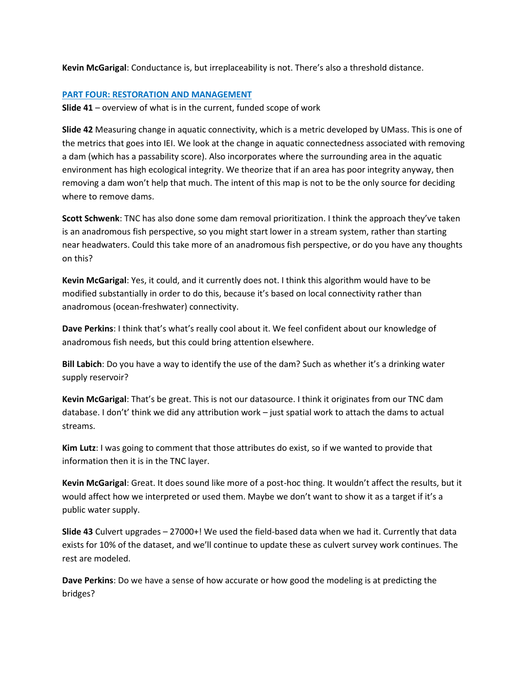**Kevin McGarigal**: Conductance is, but irreplaceability is not. There's also a threshold distance.

### **PART FOUR: RESTORATION AND MANAGEMENT**

**Slide 41** – overview of what is in the current, funded scope of work

**Slide 42** Measuring change in aquatic connectivity, which is a metric developed by UMass. This is one of the metrics that goes into IEI. We look at the change in aquatic connectedness associated with removing a dam (which has a passability score). Also incorporates where the surrounding area in the aquatic environment has high ecological integrity. We theorize that if an area has poor integrity anyway, then removing a dam won't help that much. The intent of this map is not to be the only source for deciding where to remove dams.

**Scott Schwenk**: TNC has also done some dam removal prioritization. I think the approach they've taken is an anadromous fish perspective, so you might start lower in a stream system, rather than starting near headwaters. Could this take more of an anadromous fish perspective, or do you have any thoughts on this?

**Kevin McGarigal**: Yes, it could, and it currently does not. I think this algorithm would have to be modified substantially in order to do this, because it's based on local connectivity rather than anadromous (ocean-freshwater) connectivity.

**Dave Perkins**: I think that's what's really cool about it. We feel confident about our knowledge of anadromous fish needs, but this could bring attention elsewhere.

**Bill Labich**: Do you have a way to identify the use of the dam? Such as whether it's a drinking water supply reservoir?

**Kevin McGarigal**: That's be great. This is not our datasource. I think it originates from our TNC dam database. I don't' think we did any attribution work – just spatial work to attach the dams to actual streams.

**Kim Lutz**: I was going to comment that those attributes do exist, so if we wanted to provide that information then it is in the TNC layer.

**Kevin McGarigal**: Great. It does sound like more of a post-hoc thing. It wouldn't affect the results, but it would affect how we interpreted or used them. Maybe we don't want to show it as a target if it's a public water supply.

**Slide 43** Culvert upgrades – 27000+! We used the field-based data when we had it. Currently that data exists for 10% of the dataset, and we'll continue to update these as culvert survey work continues. The rest are modeled.

**Dave Perkins**: Do we have a sense of how accurate or how good the modeling is at predicting the bridges?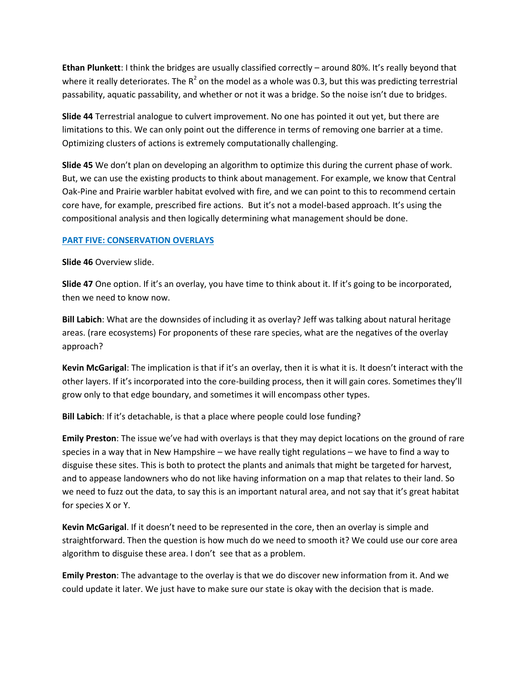**Ethan Plunkett**: I think the bridges are usually classified correctly – around 80%. It's really beyond that where it really deteriorates. The  $R^2$  on the model as a whole was 0.3, but this was predicting terrestrial passability, aquatic passability, and whether or not it was a bridge. So the noise isn't due to bridges.

**Slide 44** Terrestrial analogue to culvert improvement. No one has pointed it out yet, but there are limitations to this. We can only point out the difference in terms of removing one barrier at a time. Optimizing clusters of actions is extremely computationally challenging.

**Slide 45** We don't plan on developing an algorithm to optimize this during the current phase of work. But, we can use the existing products to think about management. For example, we know that Central Oak-Pine and Prairie warbler habitat evolved with fire, and we can point to this to recommend certain core have, for example, prescribed fire actions. But it's not a model-based approach. It's using the compositional analysis and then logically determining what management should be done.

## **PART FIVE: CONSERVATION OVERLAYS**

**Slide 46** Overview slide.

**Slide 47** One option. If it's an overlay, you have time to think about it. If it's going to be incorporated, then we need to know now.

**Bill Labich**: What are the downsides of including it as overlay? Jeff was talking about natural heritage areas. (rare ecosystems) For proponents of these rare species, what are the negatives of the overlay approach?

**Kevin McGarigal**: The implication is that if it's an overlay, then it is what it is. It doesn't interact with the other layers. If it's incorporated into the core-building process, then it will gain cores. Sometimes they'll grow only to that edge boundary, and sometimes it will encompass other types.

**Bill Labich**: If it's detachable, is that a place where people could lose funding?

**Emily Preston**: The issue we've had with overlays is that they may depict locations on the ground of rare species in a way that in New Hampshire – we have really tight regulations – we have to find a way to disguise these sites. This is both to protect the plants and animals that might be targeted for harvest, and to appease landowners who do not like having information on a map that relates to their land. So we need to fuzz out the data, to say this is an important natural area, and not say that it's great habitat for species X or Y.

**Kevin McGarigal**. If it doesn't need to be represented in the core, then an overlay is simple and straightforward. Then the question is how much do we need to smooth it? We could use our core area algorithm to disguise these area. I don't see that as a problem.

**Emily Preston**: The advantage to the overlay is that we do discover new information from it. And we could update it later. We just have to make sure our state is okay with the decision that is made.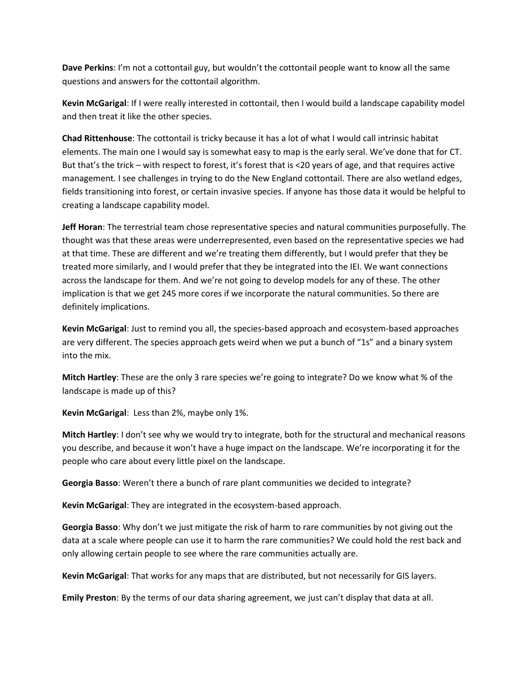**Dave Perkins**: I'm not a cottontail guy, but wouldn't the cottontail people want to know all the same questions and answers for the cottontail algorithm.

**Kevin McGarigal**: If I were really interested in cottontail, then I would build a landscape capability model and then treat it like the other species.

**Chad Rittenhouse**: The cottontail is tricky because it has a lot of what I would call intrinsic habitat elements. The main one I would say is somewhat easy to map is the early seral. We've done that for CT. But that's the trick – with respect to forest, it's forest that is <20 years of age, and that requires active management. I see challenges in trying to do the New England cottontail. There are also wetland edges, fields transitioning into forest, or certain invasive species. If anyone has those data it would be helpful to creating a landscape capability model.

**Jeff Horan**: The terrestrial team chose representative species and natural communities purposefully. The thought was that these areas were underrepresented, even based on the representative species we had at that time. These are different and we're treating them differently, but I would prefer that they be treated more similarly, and I would prefer that they be integrated into the IEI. We want connections across the landscape for them. And we're not going to develop models for any of these. The other implication is that we get 245 more cores if we incorporate the natural communities. So there are definitely implications.

**Kevin McGarigal**: Just to remind you all, the species-based approach and ecosystem-based approaches are very different. The species approach gets weird when we put a bunch of "1s" and a binary system into the mix.

**Mitch Hartley**: These are the only 3 rare species we're going to integrate? Do we know what % of the landscape is made up of this?

**Kevin McGarigal**: Less than 2%, maybe only 1%.

**Mitch Hartley**: I don't see why we would try to integrate, both for the structural and mechanical reasons you describe, and because it won't have a huge impact on the landscape. We're incorporating it for the people who care about every little pixel on the landscape.

**Georgia Basso**: Weren't there a bunch of rare plant communities we decided to integrate?

**Kevin McGarigal**: They are integrated in the ecosystem-based approach.

**Georgia Basso**: Why don't we just mitigate the risk of harm to rare communities by not giving out the data at a scale where people can use it to harm the rare communities? We could hold the rest back and only allowing certain people to see where the rare communities actually are.

**Kevin McGarigal**: That works for any maps that are distributed, but not necessarily for GIS layers.

**Emily Preston**: By the terms of our data sharing agreement, we just can't display that data at all.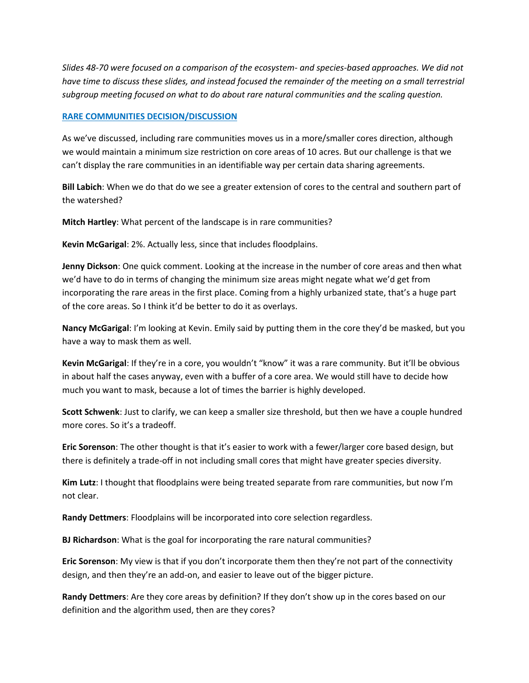*Slides 48-70 were focused on a comparison of the ecosystem- and species-based approaches. We did not have time to discuss these slides, and instead focused the remainder of the meeting on a small terrestrial subgroup meeting focused on what to do about rare natural communities and the scaling question.*

### **RARE COMMUNITIES DECISION/DISCUSSION**

As we've discussed, including rare communities moves us in a more/smaller cores direction, although we would maintain a minimum size restriction on core areas of 10 acres. But our challenge is that we can't display the rare communities in an identifiable way per certain data sharing agreements.

**Bill Labich**: When we do that do we see a greater extension of cores to the central and southern part of the watershed?

**Mitch Hartley**: What percent of the landscape is in rare communities?

**Kevin McGarigal**: 2%. Actually less, since that includes floodplains.

**Jenny Dickson**: One quick comment. Looking at the increase in the number of core areas and then what we'd have to do in terms of changing the minimum size areas might negate what we'd get from incorporating the rare areas in the first place. Coming from a highly urbanized state, that's a huge part of the core areas. So I think it'd be better to do it as overlays.

**Nancy McGarigal**: I'm looking at Kevin. Emily said by putting them in the core they'd be masked, but you have a way to mask them as well.

**Kevin McGarigal**: If they're in a core, you wouldn't "know" it was a rare community. But it'll be obvious in about half the cases anyway, even with a buffer of a core area. We would still have to decide how much you want to mask, because a lot of times the barrier is highly developed.

**Scott Schwenk**: Just to clarify, we can keep a smaller size threshold, but then we have a couple hundred more cores. So it's a tradeoff.

**Eric Sorenson**: The other thought is that it's easier to work with a fewer/larger core based design, but there is definitely a trade-off in not including small cores that might have greater species diversity.

**Kim Lutz**: I thought that floodplains were being treated separate from rare communities, but now I'm not clear.

**Randy Dettmers**: Floodplains will be incorporated into core selection regardless.

**BJ Richardson**: What is the goal for incorporating the rare natural communities?

**Eric Sorenson**: My view is that if you don't incorporate them then they're not part of the connectivity design, and then they're an add-on, and easier to leave out of the bigger picture.

**Randy Dettmers**: Are they core areas by definition? If they don't show up in the cores based on our definition and the algorithm used, then are they cores?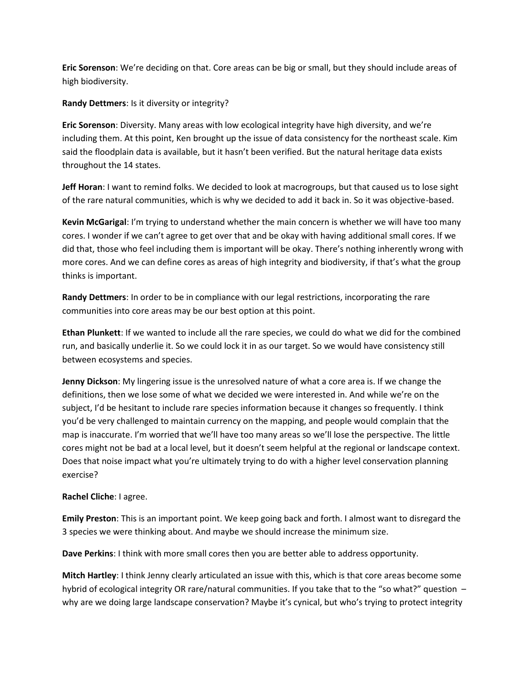**Eric Sorenson**: We're deciding on that. Core areas can be big or small, but they should include areas of high biodiversity.

**Randy Dettmers**: Is it diversity or integrity?

**Eric Sorenson**: Diversity. Many areas with low ecological integrity have high diversity, and we're including them. At this point, Ken brought up the issue of data consistency for the northeast scale. Kim said the floodplain data is available, but it hasn't been verified. But the natural heritage data exists throughout the 14 states.

**Jeff Horan**: I want to remind folks. We decided to look at macrogroups, but that caused us to lose sight of the rare natural communities, which is why we decided to add it back in. So it was objective-based.

**Kevin McGarigal**: I'm trying to understand whether the main concern is whether we will have too many cores. I wonder if we can't agree to get over that and be okay with having additional small cores. If we did that, those who feel including them is important will be okay. There's nothing inherently wrong with more cores. And we can define cores as areas of high integrity and biodiversity, if that's what the group thinks is important.

**Randy Dettmers**: In order to be in compliance with our legal restrictions, incorporating the rare communities into core areas may be our best option at this point.

**Ethan Plunkett**: If we wanted to include all the rare species, we could do what we did for the combined run, and basically underlie it. So we could lock it in as our target. So we would have consistency still between ecosystems and species.

**Jenny Dickson**: My lingering issue is the unresolved nature of what a core area is. If we change the definitions, then we lose some of what we decided we were interested in. And while we're on the subject, I'd be hesitant to include rare species information because it changes so frequently. I think you'd be very challenged to maintain currency on the mapping, and people would complain that the map is inaccurate. I'm worried that we'll have too many areas so we'll lose the perspective. The little cores might not be bad at a local level, but it doesn't seem helpful at the regional or landscape context. Does that noise impact what you're ultimately trying to do with a higher level conservation planning exercise?

## **Rachel Cliche**: I agree.

**Emily Preston**: This is an important point. We keep going back and forth. I almost want to disregard the 3 species we were thinking about. And maybe we should increase the minimum size.

**Dave Perkins**: I think with more small cores then you are better able to address opportunity.

**Mitch Hartley**: I think Jenny clearly articulated an issue with this, which is that core areas become some hybrid of ecological integrity OR rare/natural communities. If you take that to the "so what?" question – why are we doing large landscape conservation? Maybe it's cynical, but who's trying to protect integrity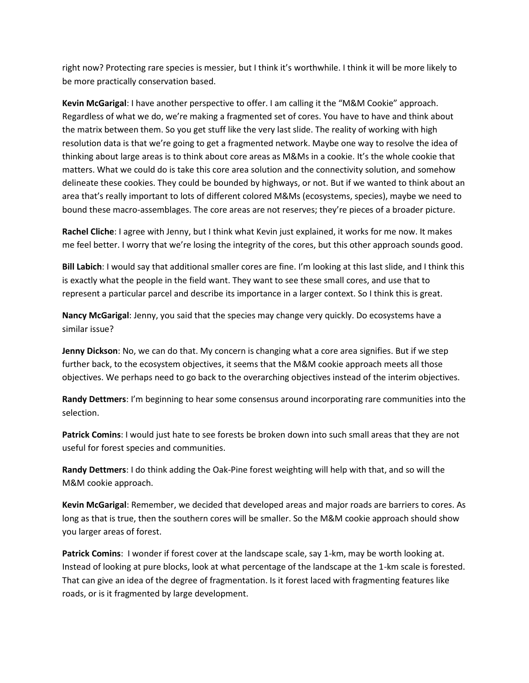right now? Protecting rare species is messier, but I think it's worthwhile. I think it will be more likely to be more practically conservation based.

**Kevin McGarigal**: I have another perspective to offer. I am calling it the "M&M Cookie" approach. Regardless of what we do, we're making a fragmented set of cores. You have to have and think about the matrix between them. So you get stuff like the very last slide. The reality of working with high resolution data is that we're going to get a fragmented network. Maybe one way to resolve the idea of thinking about large areas is to think about core areas as M&Ms in a cookie. It's the whole cookie that matters. What we could do is take this core area solution and the connectivity solution, and somehow delineate these cookies. They could be bounded by highways, or not. But if we wanted to think about an area that's really important to lots of different colored M&Ms (ecosystems, species), maybe we need to bound these macro-assemblages. The core areas are not reserves; they're pieces of a broader picture.

**Rachel Cliche**: I agree with Jenny, but I think what Kevin just explained, it works for me now. It makes me feel better. I worry that we're losing the integrity of the cores, but this other approach sounds good.

**Bill Labich**: I would say that additional smaller cores are fine. I'm looking at this last slide, and I think this is exactly what the people in the field want. They want to see these small cores, and use that to represent a particular parcel and describe its importance in a larger context. So I think this is great.

**Nancy McGarigal**: Jenny, you said that the species may change very quickly. Do ecosystems have a similar issue?

**Jenny Dickson**: No, we can do that. My concern is changing what a core area signifies. But if we step further back, to the ecosystem objectives, it seems that the M&M cookie approach meets all those objectives. We perhaps need to go back to the overarching objectives instead of the interim objectives.

**Randy Dettmers**: I'm beginning to hear some consensus around incorporating rare communities into the selection.

**Patrick Comins**: I would just hate to see forests be broken down into such small areas that they are not useful for forest species and communities.

**Randy Dettmers**: I do think adding the Oak-Pine forest weighting will help with that, and so will the M&M cookie approach.

**Kevin McGarigal**: Remember, we decided that developed areas and major roads are barriers to cores. As long as that is true, then the southern cores will be smaller. So the M&M cookie approach should show you larger areas of forest.

**Patrick Comins**: I wonder if forest cover at the landscape scale, say 1-km, may be worth looking at. Instead of looking at pure blocks, look at what percentage of the landscape at the 1-km scale is forested. That can give an idea of the degree of fragmentation. Is it forest laced with fragmenting features like roads, or is it fragmented by large development.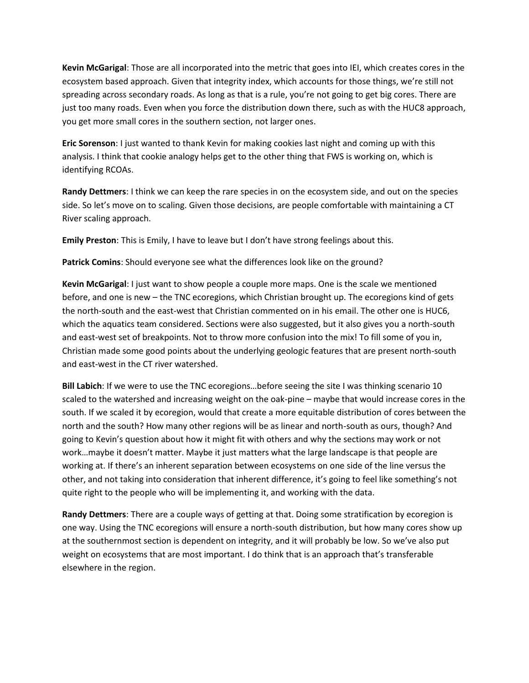**Kevin McGarigal**: Those are all incorporated into the metric that goes into IEI, which creates cores in the ecosystem based approach. Given that integrity index, which accounts for those things, we're still not spreading across secondary roads. As long as that is a rule, you're not going to get big cores. There are just too many roads. Even when you force the distribution down there, such as with the HUC8 approach, you get more small cores in the southern section, not larger ones.

**Eric Sorenson**: I just wanted to thank Kevin for making cookies last night and coming up with this analysis. I think that cookie analogy helps get to the other thing that FWS is working on, which is identifying RCOAs.

**Randy Dettmers**: I think we can keep the rare species in on the ecosystem side, and out on the species side. So let's move on to scaling. Given those decisions, are people comfortable with maintaining a CT River scaling approach.

**Emily Preston**: This is Emily, I have to leave but I don't have strong feelings about this.

**Patrick Comins**: Should everyone see what the differences look like on the ground?

**Kevin McGarigal**: I just want to show people a couple more maps. One is the scale we mentioned before, and one is new – the TNC ecoregions, which Christian brought up. The ecoregions kind of gets the north-south and the east-west that Christian commented on in his email. The other one is HUC6, which the aquatics team considered. Sections were also suggested, but it also gives you a north-south and east-west set of breakpoints. Not to throw more confusion into the mix! To fill some of you in, Christian made some good points about the underlying geologic features that are present north-south and east-west in the CT river watershed.

**Bill Labich**: If we were to use the TNC ecoregions…before seeing the site I was thinking scenario 10 scaled to the watershed and increasing weight on the oak-pine – maybe that would increase cores in the south. If we scaled it by ecoregion, would that create a more equitable distribution of cores between the north and the south? How many other regions will be as linear and north-south as ours, though? And going to Kevin's question about how it might fit with others and why the sections may work or not work…maybe it doesn't matter. Maybe it just matters what the large landscape is that people are working at. If there's an inherent separation between ecosystems on one side of the line versus the other, and not taking into consideration that inherent difference, it's going to feel like something's not quite right to the people who will be implementing it, and working with the data.

**Randy Dettmers**: There are a couple ways of getting at that. Doing some stratification by ecoregion is one way. Using the TNC ecoregions will ensure a north-south distribution, but how many cores show up at the southernmost section is dependent on integrity, and it will probably be low. So we've also put weight on ecosystems that are most important. I do think that is an approach that's transferable elsewhere in the region.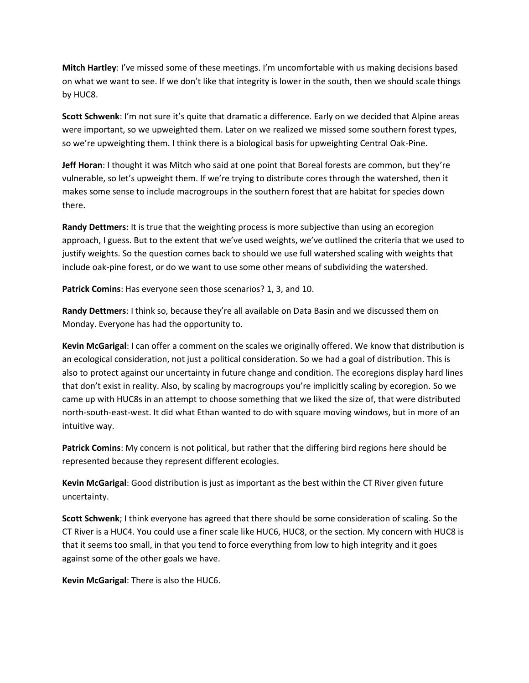**Mitch Hartley**: I've missed some of these meetings. I'm uncomfortable with us making decisions based on what we want to see. If we don't like that integrity is lower in the south, then we should scale things by HUC8.

**Scott Schwenk**: I'm not sure it's quite that dramatic a difference. Early on we decided that Alpine areas were important, so we upweighted them. Later on we realized we missed some southern forest types, so we're upweighting them. I think there is a biological basis for upweighting Central Oak-Pine.

**Jeff Horan**: I thought it was Mitch who said at one point that Boreal forests are common, but they're vulnerable, so let's upweight them. If we're trying to distribute cores through the watershed, then it makes some sense to include macrogroups in the southern forest that are habitat for species down there.

**Randy Dettmers**: It is true that the weighting process is more subjective than using an ecoregion approach, I guess. But to the extent that we've used weights, we've outlined the criteria that we used to justify weights. So the question comes back to should we use full watershed scaling with weights that include oak-pine forest, or do we want to use some other means of subdividing the watershed.

**Patrick Comins**: Has everyone seen those scenarios? 1, 3, and 10.

**Randy Dettmers**: I think so, because they're all available on Data Basin and we discussed them on Monday. Everyone has had the opportunity to.

**Kevin McGarigal**: I can offer a comment on the scales we originally offered. We know that distribution is an ecological consideration, not just a political consideration. So we had a goal of distribution. This is also to protect against our uncertainty in future change and condition. The ecoregions display hard lines that don't exist in reality. Also, by scaling by macrogroups you're implicitly scaling by ecoregion. So we came up with HUC8s in an attempt to choose something that we liked the size of, that were distributed north-south-east-west. It did what Ethan wanted to do with square moving windows, but in more of an intuitive way.

**Patrick Comins**: My concern is not political, but rather that the differing bird regions here should be represented because they represent different ecologies.

**Kevin McGarigal**: Good distribution is just as important as the best within the CT River given future uncertainty.

**Scott Schwenk**; I think everyone has agreed that there should be some consideration of scaling. So the CT River is a HUC4. You could use a finer scale like HUC6, HUC8, or the section. My concern with HUC8 is that it seems too small, in that you tend to force everything from low to high integrity and it goes against some of the other goals we have.

**Kevin McGarigal**: There is also the HUC6.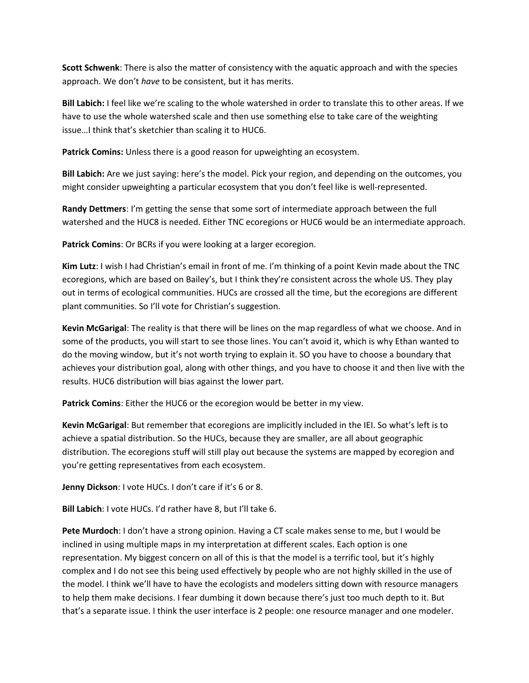**Scott Schwenk**: There is also the matter of consistency with the aquatic approach and with the species approach. We don't *have* to be consistent, but it has merits.

**Bill Labich:** I feel like we're scaling to the whole watershed in order to translate this to other areas. If we have to use the whole watershed scale and then use something else to take care of the weighting issue…I think that's sketchier than scaling it to HUC6.

**Patrick Comins:** Unless there is a good reason for upweighting an ecosystem.

**Bill Labich:** Are we just saying: here's the model. Pick your region, and depending on the outcomes, you might consider upweighting a particular ecosystem that you don't feel like is well-represented.

**Randy Dettmers**: I'm getting the sense that some sort of intermediate approach between the full watershed and the HUC8 is needed. Either TNC ecoregions or HUC6 would be an intermediate approach.

**Patrick Comins**: Or BCRs if you were looking at a larger ecoregion.

**Kim Lutz**: I wish I had Christian's email in front of me. I'm thinking of a point Kevin made about the TNC ecoregions, which are based on Bailey's, but I think they're consistent across the whole US. They play out in terms of ecological communities. HUCs are crossed all the time, but the ecoregions are different plant communities. So I'll vote for Christian's suggestion.

**Kevin McGarigal**: The reality is that there will be lines on the map regardless of what we choose. And in some of the products, you will start to see those lines. You can't avoid it, which is why Ethan wanted to do the moving window, but it's not worth trying to explain it. SO you have to choose a boundary that achieves your distribution goal, along with other things, and you have to choose it and then live with the results. HUC6 distribution will bias against the lower part.

**Patrick Comins**: Either the HUC6 or the ecoregion would be better in my view.

**Kevin McGarigal**: But remember that ecoregions are implicitly included in the IEI. So what's left is to achieve a spatial distribution. So the HUCs, because they are smaller, are all about geographic distribution. The ecoregions stuff will still play out because the systems are mapped by ecoregion and you're getting representatives from each ecosystem.

**Jenny Dickson**: I vote HUCs. I don't care if it's 6 or 8.

**Bill Labich**: I vote HUCs. I'd rather have 8, but I'll take 6.

**Pete Murdoch**: I don't have a strong opinion. Having a CT scale makes sense to me, but I would be inclined in using multiple maps in my interpretation at different scales. Each option is one representation. My biggest concern on all of this is that the model is a terrific tool, but it's highly complex and I do not see this being used effectively by people who are not highly skilled in the use of the model. I think we'll have to have the ecologists and modelers sitting down with resource managers to help them make decisions. I fear dumbing it down because there's just too much depth to it. But that's a separate issue. I think the user interface is 2 people: one resource manager and one modeler.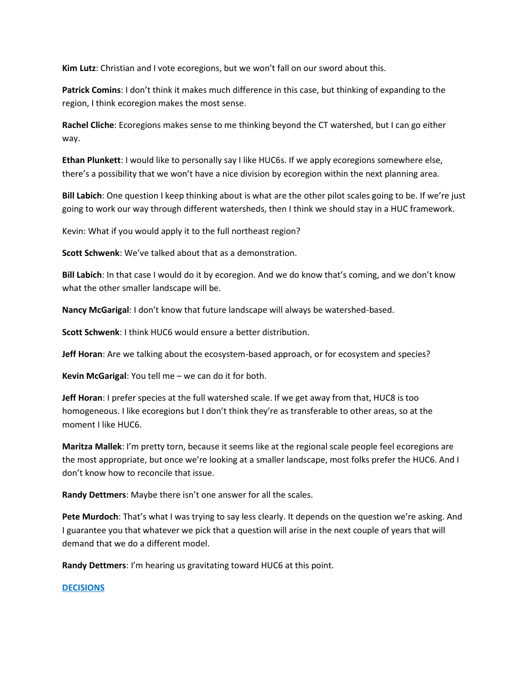**Kim Lutz**: Christian and I vote ecoregions, but we won't fall on our sword about this.

**Patrick Comins**: I don't think it makes much difference in this case, but thinking of expanding to the region, I think ecoregion makes the most sense.

**Rachel Cliche**: Ecoregions makes sense to me thinking beyond the CT watershed, but I can go either way.

**Ethan Plunkett**: I would like to personally say I like HUC6s. If we apply ecoregions somewhere else, there's a possibility that we won't have a nice division by ecoregion within the next planning area.

**Bill Labich**: One question I keep thinking about is what are the other pilot scales going to be. If we're just going to work our way through different watersheds, then I think we should stay in a HUC framework.

Kevin: What if you would apply it to the full northeast region?

**Scott Schwenk**: We've talked about that as a demonstration.

**Bill Labich**: In that case I would do it by ecoregion. And we do know that's coming, and we don't know what the other smaller landscape will be.

**Nancy McGarigal**: I don't know that future landscape will always be watershed-based.

**Scott Schwenk**: I think HUC6 would ensure a better distribution.

**Jeff Horan**: Are we talking about the ecosystem-based approach, or for ecosystem and species?

**Kevin McGarigal**: You tell me – we can do it for both.

**Jeff Horan**: I prefer species at the full watershed scale. If we get away from that, HUC8 is too homogeneous. I like ecoregions but I don't think they're as transferable to other areas, so at the moment I like HUC6.

**Maritza Mallek**: I'm pretty torn, because it seems like at the regional scale people feel ecoregions are the most appropriate, but once we're looking at a smaller landscape, most folks prefer the HUC6. And I don't know how to reconcile that issue.

**Randy Dettmers**: Maybe there isn't one answer for all the scales.

**Pete Murdoch**: That's what I was trying to say less clearly. It depends on the question we're asking. And I guarantee you that whatever we pick that a question will arise in the next couple of years that will demand that we do a different model.

**Randy Dettmers**: I'm hearing us gravitating toward HUC6 at this point.

### **DECISIONS**